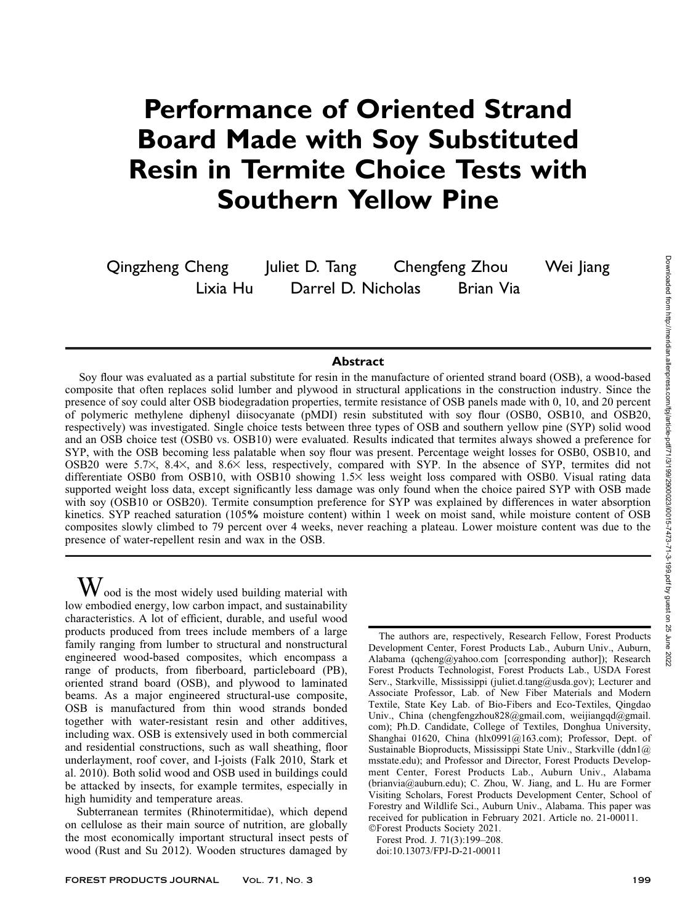# Performance of Oriented Strand Board Made with Soy Substituted Resin in Termite Choice Tests with Southern Yellow Pine

Qingzheng Cheng Juliet D. Tang Chengfeng Zhou Wei Jiang Lixia Hu Darrel D. Nicholas Brian Via

## **Abstract**

Soy flour was evaluated as a partial substitute for resin in the manufacture of oriented strand board (OSB), a wood-based composite that often replaces solid lumber and plywood in structural applications in the construction industry. Since the presence of soy could alter OSB biodegradation properties, termite resistance of OSB panels made with 0, 10, and 20 percent of polymeric methylene diphenyl diisocyanate (pMDI) resin substituted with soy flour (OSB0, OSB10, and OSB20, respectively) was investigated. Single choice tests between three types of OSB and southern yellow pine (SYP) solid wood and an OSB choice test (OSB0 vs. OSB10) were evaluated. Results indicated that termites always showed a preference for SYP, with the OSB becoming less palatable when soy flour was present. Percentage weight losses for OSB0, OSB10, and OSB20 were 5.7 $\times$ , 8.4 $\times$ , and 8.6 $\times$  less, respectively, compared with SYP. In the absence of SYP, termites did not differentiate OSB0 from OSB10, with OSB10 showing  $1.5\times$  less weight loss compared with OSB0. Visual rating data supported weight loss data, except significantly less damage was only found when the choice paired SYP with OSB made with soy (OSB10 or OSB20). Termite consumption preference for SYP was explained by differences in water absorption kinetics. SYP reached saturation (105% moisture content) within 1 week on moist sand, while moisture content of OSB composites slowly climbed to 79 percent over 4 weeks, never reaching a plateau. Lower moisture content was due to the presence of water-repellent resin and wax in the OSB.

 $\rm W$  ood is the most widely used building material with low embodied energy, low carbon impact, and sustainability characteristics. A lot of efficient, durable, and useful wood products produced from trees include members of a large family ranging from lumber to structural and nonstructural engineered wood-based composites, which encompass a range of products, from fiberboard, particleboard (PB), oriented strand board (OSB), and plywood to laminated beams. As a major engineered structural-use composite, OSB is manufactured from thin wood strands bonded together with water-resistant resin and other additives, including wax. OSB is extensively used in both commercial and residential constructions, such as wall sheathing, floor underlayment, roof cover, and I-joists (Falk 2010, Stark et al. 2010). Both solid wood and OSB used in buildings could be attacked by insects, for example termites, especially in high humidity and temperature areas.

Subterranean termites (Rhinotermitidae), which depend on cellulose as their main source of nutrition, are globally the most economically important structural insect pests of wood (Rust and Su 2012). Wooden structures damaged by

The authors are, respectively, Research Fellow, Forest Products Development Center, Forest Products Lab., Auburn Univ., Auburn, Alabama (qcheng@yahoo.com [corresponding author]); Research Forest Products Technologist, Forest Products Lab., USDA Forest Serv., Starkville, Mississippi (juliet.d.tang@usda.gov); Lecturer and Associate Professor, Lab. of New Fiber Materials and Modern Textile, State Key Lab. of Bio-Fibers and Eco-Textiles, Qingdao Univ., China (chengfengzhou828@gmail.com, weijiangqd@gmail. com); Ph.D. Candidate, College of Textiles, Donghua University, Shanghai 01620, China (hlx0991@163.com); Professor, Dept. of Sustainable Bioproducts, Mississippi State Univ., Starkville (ddn1@ msstate.edu); and Professor and Director, Forest Products Development Center, Forest Products Lab., Auburn Univ., Alabama (brianvia@auburn.edu); C. Zhou, W. Jiang, and L. Hu are Former Visiting Scholars, Forest Products Development Center, School of Forestry and Wildlife Sci., Auburn Univ., Alabama. This paper was received for publication in February 2021. Article no. 21-00011. -Forest Products Society 2021.

Forest Prod. J. 71(3):199–208. doi:10.13073/FPJ-D-21-00011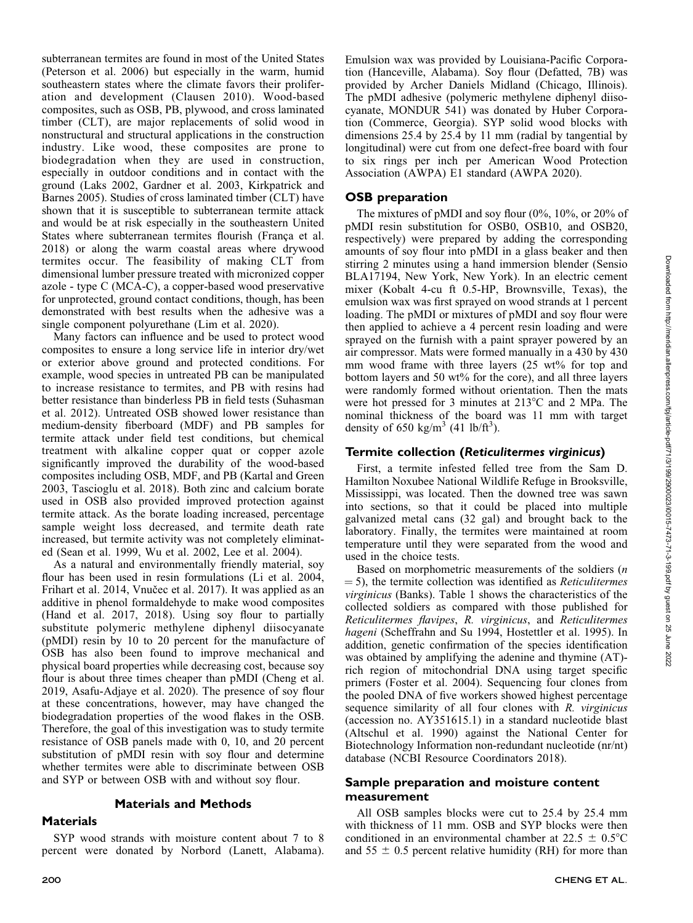subterranean termites are found in most of the United States (Peterson et al. 2006) but especially in the warm, humid southeastern states where the climate favors their proliferation and development (Clausen 2010). Wood-based composites, such as OSB, PB, plywood, and cross laminated timber (CLT), are major replacements of solid wood in nonstructural and structural applications in the construction industry. Like wood, these composites are prone to biodegradation when they are used in construction, especially in outdoor conditions and in contact with the ground (Laks 2002, Gardner et al. 2003, Kirkpatrick and Barnes 2005). Studies of cross laminated timber (CLT) have shown that it is susceptible to subterranean termite attack and would be at risk especially in the southeastern United States where subterranean termites flourish (França et al. 2018) or along the warm coastal areas where drywood termites occur. The feasibility of making CLT from dimensional lumber pressure treated with micronized copper azole - type C (MCA-C), a copper-based wood preservative for unprotected, ground contact conditions, though, has been demonstrated with best results when the adhesive was a single component polyurethane (Lim et al. 2020).

Many factors can influence and be used to protect wood composites to ensure a long service life in interior dry/wet or exterior above ground and protected conditions. For example, wood species in untreated PB can be manipulated to increase resistance to termites, and PB with resins had better resistance than binderless PB in field tests (Suhasman et al. 2012). Untreated OSB showed lower resistance than medium-density fiberboard (MDF) and PB samples for termite attack under field test conditions, but chemical treatment with alkaline copper quat or copper azole significantly improved the durability of the wood-based composites including OSB, MDF, and PB (Kartal and Green 2003, Tascioglu et al. 2018). Both zinc and calcium borate used in OSB also provided improved protection against termite attack. As the borate loading increased, percentage sample weight loss decreased, and termite death rate increased, but termite activity was not completely eliminated (Sean et al. 1999, Wu et al. 2002, Lee et al. 2004).

As a natural and environmentally friendly material, soy flour has been used in resin formulations (Li et al. 2004, Frihart et al. 2014, Vnučec et al. 2017). It was applied as an additive in phenol formaldehyde to make wood composites (Hand et al. 2017, 2018). Using soy flour to partially substitute polymeric methylene diphenyl diisocyanate (pMDI) resin by 10 to 20 percent for the manufacture of OSB has also been found to improve mechanical and physical board properties while decreasing cost, because soy flour is about three times cheaper than pMDI (Cheng et al. 2019, Asafu-Adjaye et al. 2020). The presence of soy flour at these concentrations, however, may have changed the biodegradation properties of the wood flakes in the OSB. Therefore, the goal of this investigation was to study termite resistance of OSB panels made with 0, 10, and 20 percent substitution of pMDI resin with soy flour and determine whether termites were able to discriminate between OSB and SYP or between OSB with and without soy flour.

#### Materials and Methods

#### Materials

SYP wood strands with moisture content about 7 to 8 percent were donated by Norbord (Lanett, Alabama). Emulsion wax was provided by Louisiana-Pacific Corporation (Hanceville, Alabama). Soy flour (Defatted, 7B) was provided by Archer Daniels Midland (Chicago, Illinois). The pMDI adhesive (polymeric methylene diphenyl diisocyanate, MONDUR 541) was donated by Huber Corporation (Commerce, Georgia). SYP solid wood blocks with dimensions 25.4 by 25.4 by 11 mm (radial by tangential by longitudinal) were cut from one defect-free board with four to six rings per inch per American Wood Protection Association (AWPA) E1 standard (AWPA 2020).

## OSB preparation

The mixtures of pMDI and soy flour (0%, 10%, or 20% of pMDI resin substitution for OSB0, OSB10, and OSB20, respectively) were prepared by adding the corresponding amounts of soy flour into pMDI in a glass beaker and then stirring 2 minutes using a hand immersion blender (Sensio BLA17194, New York, New York). In an electric cement mixer (Kobalt 4-cu ft 0.5-HP, Brownsville, Texas), the emulsion wax was first sprayed on wood strands at 1 percent loading. The pMDI or mixtures of pMDI and soy flour were then applied to achieve a 4 percent resin loading and were sprayed on the furnish with a paint sprayer powered by an air compressor. Mats were formed manually in a 430 by 430 mm wood frame with three layers (25 wt% for top and bottom layers and 50 wt% for the core), and all three layers were randomly formed without orientation. Then the mats were hot pressed for 3 minutes at  $213^{\circ}$ C and 2 MPa. The nominal thickness of the board was 11 mm with target density of 650 kg/m<sup>3</sup> (41 lb/ft<sup>3</sup>).

## Termite collection (Reticulitermes virginicus)

First, a termite infested felled tree from the Sam D. Hamilton Noxubee National Wildlife Refuge in Brooksville, Mississippi, was located. Then the downed tree was sawn into sections, so that it could be placed into multiple galvanized metal cans (32 gal) and brought back to the laboratory. Finally, the termites were maintained at room temperature until they were separated from the wood and used in the choice tests.

Based on morphometric measurements of the soldiers (n  $=$  5), the termite collection was identified as *Reticulitermes* virginicus (Banks). Table 1 shows the characteristics of the collected soldiers as compared with those published for Reticulitermes flavipes, R. virginicus, and Reticulitermes hageni (Scheffrahn and Su 1994, Hostettler et al. 1995). In addition, genetic confirmation of the species identification was obtained by amplifying the adenine and thymine (AT) rich region of mitochondrial DNA using target specific primers (Foster et al. 2004). Sequencing four clones from the pooled DNA of five workers showed highest percentage sequence similarity of all four clones with R. *virginicus* (accession no. AY351615.1) in a standard nucleotide blast (Altschul et al. 1990) against the National Center for Biotechnology Information non-redundant nucleotide (nr/nt) database (NCBI Resource Coordinators 2018).

# Sample preparation and moisture content measurement

All OSB samples blocks were cut to 25.4 by 25.4 mm with thickness of 11 mm. OSB and SYP blocks were then conditioned in an environmental chamber at  $22.5 \pm 0.5^{\circ}$ C and  $55 \pm 0.5$  percent relative humidity (RH) for more than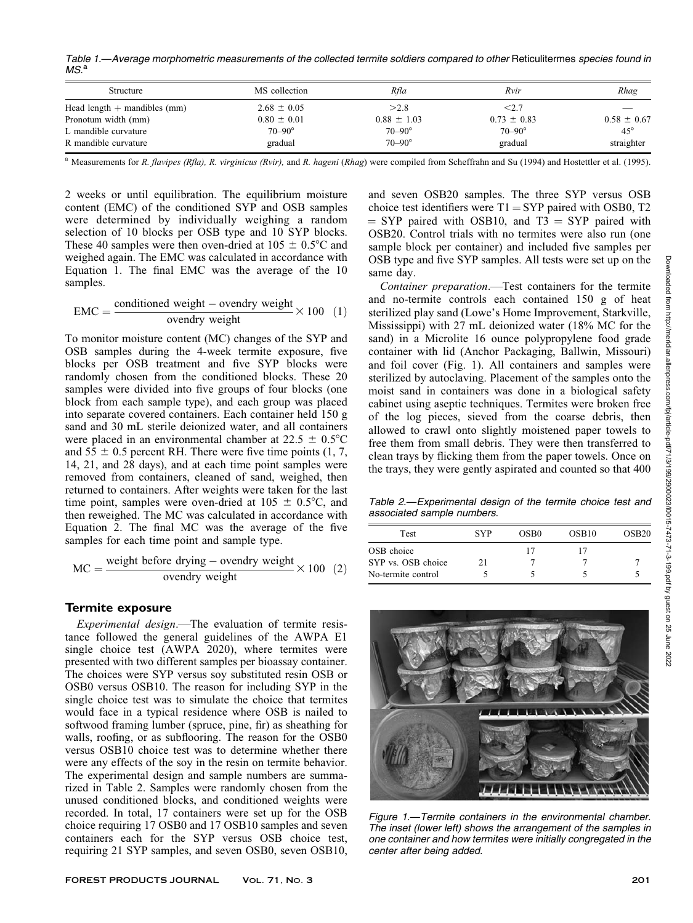Table 1.—Average morphometric measurements of the collected termite soldiers compared to other Reticulitermes species found in  $MS.<sup>a</sup>$ 

| Structure                      | MS collection     | Rfla              | Rvir              | Rhag            |
|--------------------------------|-------------------|-------------------|-------------------|-----------------|
| Head length $+$ mandibles (mm) | $2.68 \pm 0.05$   | >2.8              | $<$ 2.7 $\,$      |                 |
| Pronotum width (mm)            | $0.80 \pm 0.01$   | $0.88 \pm 1.03$   | $0.73 \pm 0.83$   | $0.58 \pm 0.67$ |
| L mandible curvature           | $70 - 90^{\circ}$ | $70 - 90^{\circ}$ | $70 - 90^{\circ}$ | $45^{\circ}$    |
| R mandible curvature           | gradual           | $70 - 90^{\circ}$ | gradual           | straighter      |

<sup>a</sup> Measurements for R. flavipes (Rfla), R. virginicus (Rvir), and R. hageni (Rhag) were compiled from Scheffrahn and Su (1994) and Hostettler et al. (1995).

2 weeks or until equilibration. The equilibrium moisture content (EMC) of the conditioned SYP and OSB samples were determined by individually weighing a random selection of 10 blocks per OSB type and 10 SYP blocks. These 40 samples were then oven-dried at  $105 \pm 0.5^{\circ}$ C and weighed again. The EMC was calculated in accordance with Equation 1. The final EMC was the average of the 10 samples.

$$
EMC = \frac{\text{conditioned weight} - \text{ovendry weight}}{\text{ovendry weight}} \times 100 \quad (1)
$$

To monitor moisture content (MC) changes of the SYP and OSB samples during the 4-week termite exposure, five blocks per OSB treatment and five SYP blocks were randomly chosen from the conditioned blocks. These 20 samples were divided into five groups of four blocks (one block from each sample type), and each group was placed into separate covered containers. Each container held 150 g sand and 30 mL sterile deionized water, and all containers were placed in an environmental chamber at  $22.5 \pm 0.5^{\circ}C$ and  $55 \pm 0.5$  percent RH. There were five time points (1, 7, 14, 21, and 28 days), and at each time point samples were removed from containers, cleaned of sand, weighed, then returned to containers. After weights were taken for the last time point, samples were oven-dried at  $105 \pm 0.5^{\circ}$ C, and then reweighed. The MC was calculated in accordance with Equation 2. The final MC was the average of the five samples for each time point and sample type.

$$
MC = \frac{\text{weight before drying} - \text{overdry weight}}{\text{overdry weight}} \times 100 \quad (2)
$$

#### Termite exposure

Experimental design.—The evaluation of termite resistance followed the general guidelines of the AWPA E1 single choice test (AWPA 2020), where termites were presented with two different samples per bioassay container. The choices were SYP versus soy substituted resin OSB or OSB0 versus OSB10. The reason for including SYP in the single choice test was to simulate the choice that termites would face in a typical residence where OSB is nailed to softwood framing lumber (spruce, pine, fir) as sheathing for walls, roofing, or as subflooring. The reason for the OSB0 versus OSB10 choice test was to determine whether there were any effects of the soy in the resin on termite behavior. The experimental design and sample numbers are summarized in Table 2. Samples were randomly chosen from the unused conditioned blocks, and conditioned weights were recorded. In total, 17 containers were set up for the OSB choice requiring 17 OSB0 and 17 OSB10 samples and seven containers each for the SYP versus OSB choice test, requiring 21 SYP samples, and seven OSB0, seven OSB10, and seven OSB20 samples. The three SYP versus OSB choice test identifiers were  $T1 = SYP$  paired with OSB0, T2  $=$  SYP paired with OSB10, and T3  $=$  SYP paired with OSB20. Control trials with no termites were also run (one sample block per container) and included five samples per OSB type and five SYP samples. All tests were set up on the same day.

Container preparation.—Test containers for the termite and no-termite controls each contained 150 g of heat sterilized play sand (Lowe's Home Improvement, Starkville, Mississippi) with 27 mL deionized water (18% MC for the sand) in a Microlite 16 ounce polypropylene food grade container with lid (Anchor Packaging, Ballwin, Missouri) and foil cover (Fig. 1). All containers and samples were sterilized by autoclaving. Placement of the samples onto the moist sand in containers was done in a biological safety cabinet using aseptic techniques. Termites were broken free of the log pieces, sieved from the coarse debris, then allowed to crawl onto slightly moistened paper towels to free them from small debris. They were then transferred to clean trays by flicking them from the paper towels. Once on the trays, they were gently aspirated and counted so that 400

Table 2.—Experimental design of the termite choice test and associated sample numbers.

| <b>Test</b>        | <b>SYP</b> | OSB <sub>0</sub> | OSB <sub>10</sub> | OSB <sub>20</sub> |
|--------------------|------------|------------------|-------------------|-------------------|
| OSB choice         |            |                  |                   |                   |
| SYP vs. OSB choice | 21         |                  |                   |                   |
| No-termite control |            |                  |                   |                   |

2022



Figure 1.—Termite containers in the environmental chamber. The inset (lower left) shows the arrangement of the samples in one container and how termites were initially congregated in the center after being added.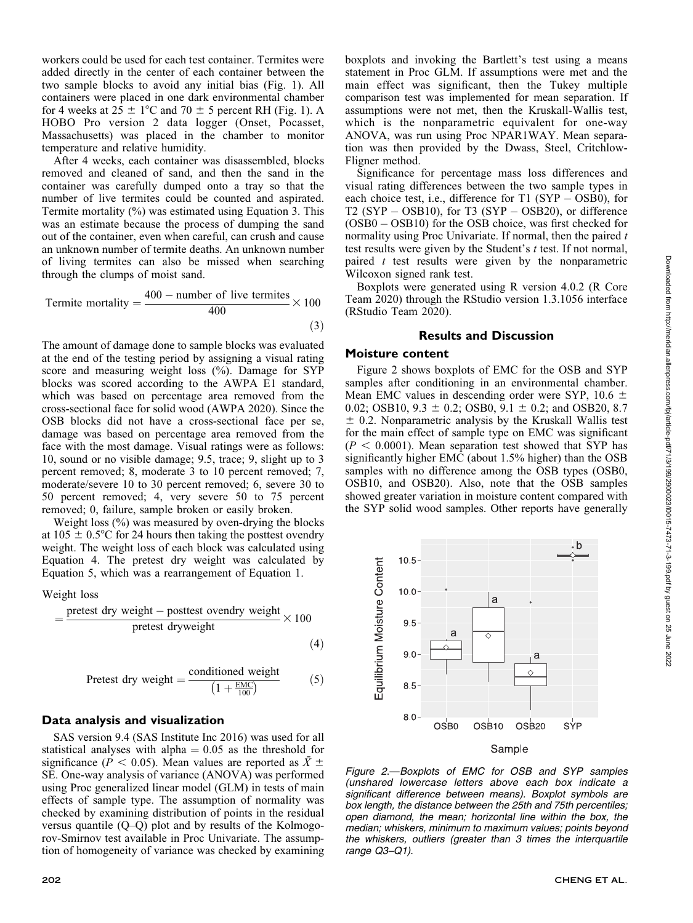workers could be used for each test container. Termites were added directly in the center of each container between the two sample blocks to avoid any initial bias (Fig. 1). All containers were placed in one dark environmental chamber for 4 weeks at  $25 \pm 1^{\circ}$ C and  $70 \pm 5$  percent RH (Fig. 1). A HOBO Pro version 2 data logger (Onset, Pocasset, Massachusetts) was placed in the chamber to monitor temperature and relative humidity.

After 4 weeks, each container was disassembled, blocks removed and cleaned of sand, and then the sand in the container was carefully dumped onto a tray so that the number of live termites could be counted and aspirated. Termite mortality (%) was estimated using Equation 3. This was an estimate because the process of dumping the sand out of the container, even when careful, can crush and cause an unknown number of termite deaths. An unknown number of living termites can also be missed when searching through the clumps of moist sand.

Termite mortality = 
$$
\frac{400 - \text{number of live terminates}}{400} \times 100
$$
 (3)

The amount of damage done to sample blocks was evaluated at the end of the testing period by assigning a visual rating score and measuring weight loss (%). Damage for SYP blocks was scored according to the AWPA E1 standard, which was based on percentage area removed from the cross-sectional face for solid wood (AWPA 2020). Since the OSB blocks did not have a cross-sectional face per se, damage was based on percentage area removed from the face with the most damage. Visual ratings were as follows: 10, sound or no visible damage; 9.5, trace; 9, slight up to 3 percent removed; 8, moderate 3 to 10 percent removed; 7, moderate/severe 10 to 30 percent removed; 6, severe 30 to 50 percent removed; 4, very severe 50 to 75 percent removed; 0, failure, sample broken or easily broken.

Weight loss (%) was measured by oven-drying the blocks at  $105 \pm 0.5^{\circ}$ C for 24 hours then taking the posttest ovendry weight. The weight loss of each block was calculated using Equation 4. The pretest dry weight was calculated by Equation 5, which was a rearrangement of Equation 1.

Weight loss

$$
= \frac{\text{pretest dry weight} - \text{posttest overdry weight}}{\text{pretest dryweight}} \times 100
$$
\n(4)

$$
Pretest dry weight = \frac{\text{conditioned weight}}{\left(1 + \frac{\text{EMC}}{100}\right)}\tag{5}
$$

## Data analysis and visualization

SAS version 9.4 (SAS Institute Inc 2016) was used for all statistical analyses with alpha  $= 0.05$  as the threshold for significance ( $P < 0.05$ ). Mean values are reported as  $\bar{X} \pm$ SE. One-way analysis of variance (ANOVA) was performed using Proc generalized linear model (GLM) in tests of main effects of sample type. The assumption of normality was checked by examining distribution of points in the residual versus quantile (Q–Q) plot and by results of the Kolmogorov-Smirnov test available in Proc Univariate. The assumption of homogeneity of variance was checked by examining

boxplots and invoking the Bartlett's test using a means statement in Proc GLM. If assumptions were met and the main effect was significant, then the Tukey multiple comparison test was implemented for mean separation. If assumptions were not met, then the Kruskall-Wallis test, which is the nonparametric equivalent for one-way ANOVA, was run using Proc NPAR1WAY. Mean separation was then provided by the Dwass, Steel, Critchlow-Fligner method.

Significance for percentage mass loss differences and visual rating differences between the two sample types in each choice test, i.e., difference for T1 (SYP – OSB0), for  $T2 (SYP - OSB10)$ , for T3  $(SYP - OSB20)$ , or difference (OSB0 - OSB10) for the OSB choice, was first checked for normality using Proc Univariate. If normal, then the paired  $t$ test results were given by the Student's t test. If not normal, paired  $t$  test results were given by the nonparametric Wilcoxon signed rank test.

Boxplots were generated using R version 4.0.2 (R Core Team 2020) through the RStudio version 1.3.1056 interface (RStudio Team 2020).

#### Results and Discussion

## Moisture content

Figure 2 shows boxplots of EMC for the OSB and SYP samples after conditioning in an environmental chamber. Mean EMC values in descending order were SYP,  $10.6 \pm$ 0.02; OSB10,  $9.3 \pm 0.2$ ; OSB0,  $9.1 \pm 0.2$ ; and OSB20, 8.7  $\pm$  0.2. Nonparametric analysis by the Kruskall Wallis test for the main effect of sample type on EMC was significant  $(P < 0.0001)$ . Mean separation test showed that SYP has significantly higher EMC (about 1.5% higher) than the OSB samples with no difference among the OSB types (OSB0, OSB10, and OSB20). Also, note that the OSB samples showed greater variation in moisture content compared with the SYP solid wood samples. Other reports have generally



Figure 2.—Boxplots of EMC for OSB and SYP samples (unshared lowercase letters above each box indicate a significant difference between means). Boxplot symbols are box length, the distance between the 25th and 75th percentiles; open diamond, the mean; horizontal line within the box, the median; whiskers, minimum to maximum values; points beyond the whiskers, outliers (greater than 3 times the interquartile range Q3–Q1).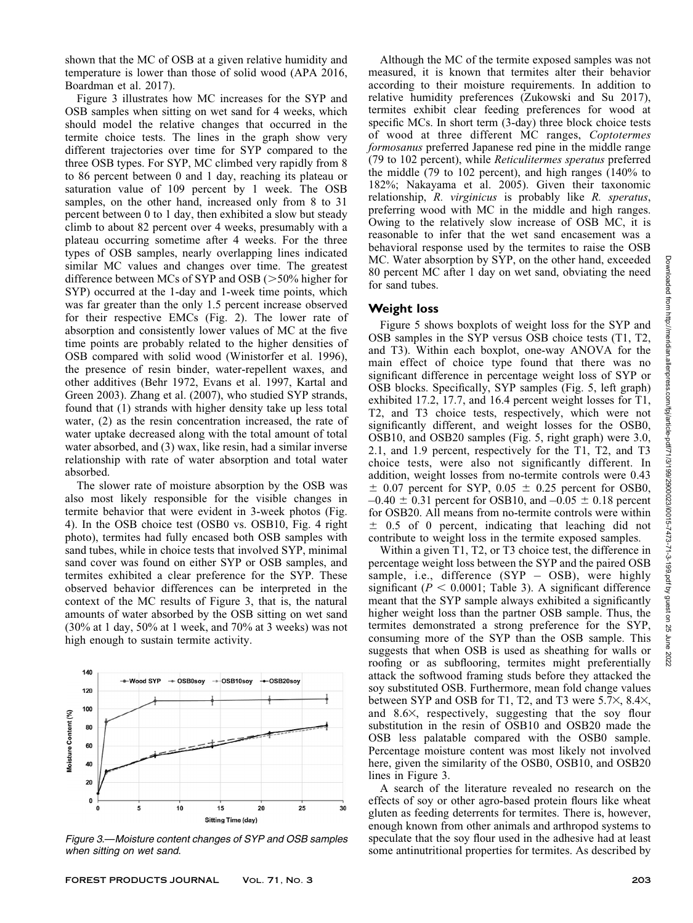shown that the MC of OSB at a given relative humidity and temperature is lower than those of solid wood (APA 2016, Boardman et al. 2017).

Figure 3 illustrates how MC increases for the SYP and OSB samples when sitting on wet sand for 4 weeks, which should model the relative changes that occurred in the termite choice tests. The lines in the graph show very different trajectories over time for SYP compared to the three OSB types. For SYP, MC climbed very rapidly from 8 to 86 percent between 0 and 1 day, reaching its plateau or saturation value of 109 percent by 1 week. The OSB samples, on the other hand, increased only from 8 to 31 percent between 0 to 1 day, then exhibited a slow but steady climb to about 82 percent over 4 weeks, presumably with a plateau occurring sometime after 4 weeks. For the three types of OSB samples, nearly overlapping lines indicated similar MC values and changes over time. The greatest difference between MCs of SYP and OSB  $(>50\%$  higher for SYP) occurred at the 1-day and 1-week time points, which was far greater than the only 1.5 percent increase observed for their respective EMCs (Fig. 2). The lower rate of absorption and consistently lower values of MC at the five time points are probably related to the higher densities of OSB compared with solid wood (Winistorfer et al. 1996), the presence of resin binder, water-repellent waxes, and other additives (Behr 1972, Evans et al. 1997, Kartal and Green 2003). Zhang et al. (2007), who studied SYP strands, found that (1) strands with higher density take up less total water, (2) as the resin concentration increased, the rate of water uptake decreased along with the total amount of total water absorbed, and (3) wax, like resin, had a similar inverse relationship with rate of water absorption and total water absorbed.

The slower rate of moisture absorption by the OSB was also most likely responsible for the visible changes in termite behavior that were evident in 3-week photos (Fig. 4). In the OSB choice test (OSB0 vs. OSB10, Fig. 4 right photo), termites had fully encased both OSB samples with sand tubes, while in choice tests that involved SYP, minimal sand cover was found on either SYP or OSB samples, and termites exhibited a clear preference for the SYP. These observed behavior differences can be interpreted in the context of the MC results of Figure 3, that is, the natural amounts of water absorbed by the OSB sitting on wet sand (30% at 1 day, 50% at 1 week, and 70% at 3 weeks) was not high enough to sustain termite activity.



Figure 3.—Moisture content changes of SYP and OSB samples when sitting on wet sand.

Although the MC of the termite exposed samples was not measured, it is known that termites alter their behavior according to their moisture requirements. In addition to relative humidity preferences (Zukowski and Su 2017), termites exhibit clear feeding preferences for wood at specific MCs. In short term (3-day) three block choice tests of wood at three different MC ranges, Coptotermes formosanus preferred Japanese red pine in the middle range (79 to 102 percent), while Reticulitermes speratus preferred the middle (79 to 102 percent), and high ranges (140% to 182%; Nakayama et al. 2005). Given their taxonomic relationship, R. virginicus is probably like R. speratus, preferring wood with MC in the middle and high ranges. Owing to the relatively slow increase of OSB MC, it is reasonable to infer that the wet sand encasement was a behavioral response used by the termites to raise the OSB MC. Water absorption by SYP, on the other hand, exceeded 80 percent MC after 1 day on wet sand, obviating the need for sand tubes.

# Weight loss

Figure 5 shows boxplots of weight loss for the SYP and OSB samples in the SYP versus OSB choice tests (T1, T2, and T3). Within each boxplot, one-way ANOVA for the main effect of choice type found that there was no significant difference in percentage weight loss of SYP or OSB blocks. Specifically, SYP samples (Fig. 5, left graph) exhibited 17.2, 17.7, and 16.4 percent weight losses for T1, T2, and T3 choice tests, respectively, which were not significantly different, and weight losses for the OSB0, OSB10, and OSB20 samples (Fig. 5, right graph) were 3.0, 2.1, and 1.9 percent, respectively for the T1, T2, and T3 choice tests, were also not significantly different. In addition, weight losses from no-termite controls were 0.43  $\pm$  0.07 percent for SYP, 0.05  $\pm$  0.25 percent for OSB0,  $-0.40 \pm 0.31$  percent for OSB10, and  $-0.05 \pm 0.18$  percent for OSB20. All means from no-termite controls were within  $\pm$  0.5 of 0 percent, indicating that leaching did not contribute to weight loss in the termite exposed samples.

Within a given T1, T2, or T3 choice test, the difference in percentage weight loss between the SYP and the paired OSB sample, i.e., difference (SYP - OSB), were highly significant ( $P < 0.0001$ ; Table 3). A significant difference meant that the SYP sample always exhibited a significantly higher weight loss than the partner OSB sample. Thus, the termites demonstrated a strong preference for the SYP, consuming more of the SYP than the OSB sample. This suggests that when OSB is used as sheathing for walls or roofing or as subflooring, termites might preferentially attack the softwood framing studs before they attacked the soy substituted OSB. Furthermore, mean fold change values between SYP and OSB for T1, T2, and T3 were  $5.7\times$ ,  $8.4\times$ , and  $8.6\times$ , respectively, suggesting that the soy flour substitution in the resin of OSB10 and OSB20 made the OSB less palatable compared with the OSB0 sample. Percentage moisture content was most likely not involved here, given the similarity of the OSB0, OSB10, and OSB20 lines in Figure 3.

A search of the literature revealed no research on the effects of soy or other agro-based protein flours like wheat gluten as feeding deterrents for termites. There is, however, enough known from other animals and arthropod systems to speculate that the soy flour used in the adhesive had at least some antinutritional properties for termites. As described by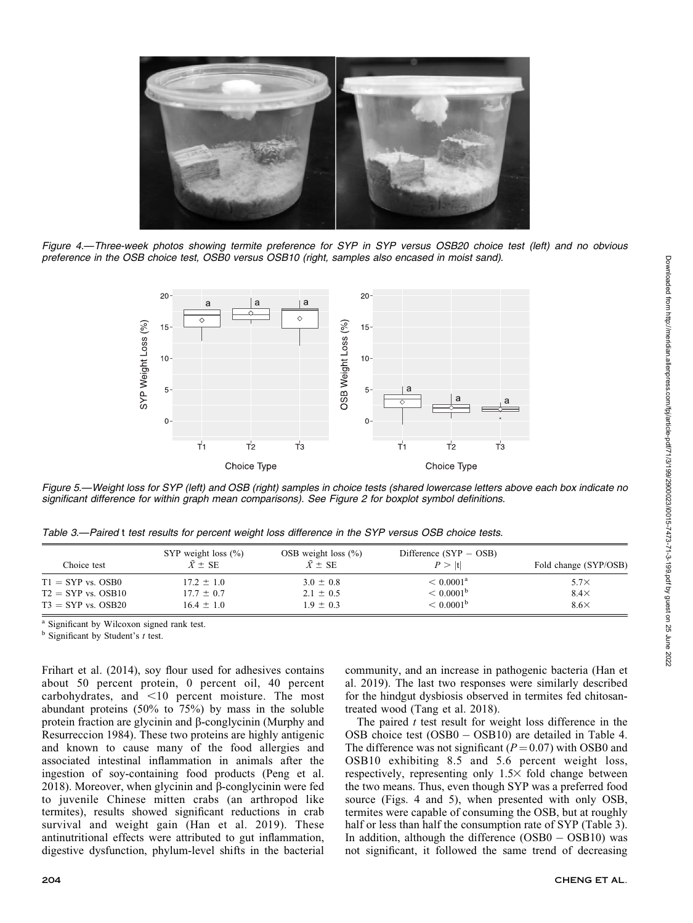

Figure 4.—Three-week photos showing termite preference for SYP in SYP versus OSB20 choice test (left) and no obvious preference in the OSB choice test, OSB0 versus OSB10 (right, samples also encased in moist sand).



Figure 5.—Weight loss for SYP (left) and OSB (right) samples in choice tests (shared lowercase letters above each box indicate no significant difference for within graph mean comparisons). See Figure 2 for boxplot symbol definitions.

|  |  | Table 3.—Paired t test results for percent weight loss difference in the SYP versus OSB choice tests. |
|--|--|-------------------------------------------------------------------------------------------------------|

| Choice test            | SYP weight loss $(\% )$<br>$\bar{X} \pm SE$ | OSB weight loss $(\% )$<br>$\bar{X} \pm SE$ | Difference $(SYP - OSB)$<br>P >  t | Fold change (SYP/OSB) |
|------------------------|---------------------------------------------|---------------------------------------------|------------------------------------|-----------------------|
| $T1 = SYP$ vs. OSB0    | $17.2 \pm 1.0$                              | $3.0 \pm 0.8$                               | $< 0.0001^{\rm a}$                 | $5.7\times$           |
| $T2 = SYP$ vs. $OSB10$ | $17.7 \pm 0.7$                              | $2.1 \pm 0.5$                               | $< 0.0001^{\rm b}$                 | $8.4\times$           |
| $T3 = SYP$ vs. OSB20   | $16.4 \pm 1.0$                              | $1.9 \pm 0.3$                               | $< 0.0001^{\rm b}$                 | $8.6\times$           |

<sup>a</sup> Significant by Wilcoxon signed rank test.

 $<sup>b</sup>$  Significant by Student's t test.</sup>

Frihart et al. (2014), soy flour used for adhesives contains about 50 percent protein, 0 percent oil, 40 percent carbohydrates, and <10 percent moisture. The most abundant proteins (50% to 75%) by mass in the soluble protein fraction are glycinin and  $\beta$ -conglycinin (Murphy and Resurreccion 1984). These two proteins are highly antigenic and known to cause many of the food allergies and associated intestinal inflammation in animals after the ingestion of soy-containing food products (Peng et al. 2018). Moreover, when glycinin and  $\beta$ -conglycinin were fed to juvenile Chinese mitten crabs (an arthropod like termites), results showed significant reductions in crab survival and weight gain (Han et al. 2019). These antinutritional effects were attributed to gut inflammation, digestive dysfunction, phylum-level shifts in the bacterial

community, and an increase in pathogenic bacteria (Han et al. 2019). The last two responses were similarly described for the hindgut dysbiosis observed in termites fed chitosantreated wood (Tang et al. 2018).

The paired  $t$  test result for weight loss difference in the OSB choice test (OSB0 – OSB10) are detailed in Table 4. The difference was not significant  $(P=0.07)$  with OSB0 and OSB10 exhibiting 8.5 and 5.6 percent weight loss, respectively, representing only  $1.5\times$  fold change between the two means. Thus, even though SYP was a preferred food source (Figs. 4 and 5), when presented with only OSB, termites were capable of consuming the OSB, but at roughly half or less than half the consumption rate of SYP (Table 3). In addition, although the difference (OSB0 - OSB10) was not significant, it followed the same trend of decreasing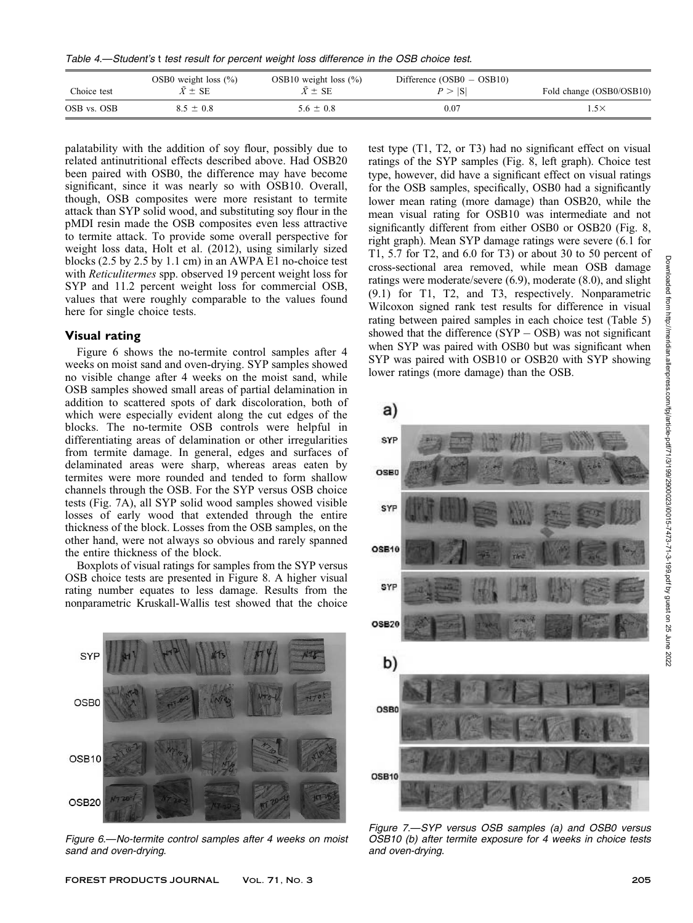Table 4.—Student's t test result for percent weight loss difference in the OSB choice test.

| Choice test | OSB0 weight loss $(\% )$<br>$\bar{X} \pm \text{SE}$ | OSB10 weight loss $(\% )$<br>$\bar{X} \pm \text{SE}$ | Difference $(OSB0 - OSB10)$<br>P >  S | Fold change (OSB0/OSB10) |
|-------------|-----------------------------------------------------|------------------------------------------------------|---------------------------------------|--------------------------|
| OSB vs. OSB | $8.5 \pm 0.8$                                       | $5.6 \pm 0.8$                                        | 0.07                                  | $.5\times$               |

palatability with the addition of soy flour, possibly due to related antinutritional effects described above. Had OSB20 been paired with OSB0, the difference may have become significant, since it was nearly so with OSB10. Overall, though, OSB composites were more resistant to termite attack than SYP solid wood, and substituting soy flour in the pMDI resin made the OSB composites even less attractive to termite attack. To provide some overall perspective for weight loss data, Holt et al. (2012), using similarly sized blocks (2.5 by 2.5 by 1.1 cm) in an AWPA E1 no-choice test with Reticulitermes spp. observed 19 percent weight loss for SYP and 11.2 percent weight loss for commercial OSB, values that were roughly comparable to the values found here for single choice tests.

# Visual rating

Figure 6 shows the no-termite control samples after 4 weeks on moist sand and oven-drying. SYP samples showed no visible change after 4 weeks on the moist sand, while OSB samples showed small areas of partial delamination in addition to scattered spots of dark discoloration, both of which were especially evident along the cut edges of the blocks. The no-termite OSB controls were helpful in differentiating areas of delamination or other irregularities from termite damage. In general, edges and surfaces of delaminated areas were sharp, whereas areas eaten by termites were more rounded and tended to form shallow channels through the OSB. For the SYP versus OSB choice tests (Fig. 7A), all SYP solid wood samples showed visible losses of early wood that extended through the entire thickness of the block. Losses from the OSB samples, on the other hand, were not always so obvious and rarely spanned the entire thickness of the block.

Boxplots of visual ratings for samples from the SYP versus OSB choice tests are presented in Figure 8. A higher visual rating number equates to less damage. Results from the nonparametric Kruskall-Wallis test showed that the choice



Figure 6.—No-termite control samples after 4 weeks on moist sand and oven-drying.

test type (T1, T2, or T3) had no significant effect on visual ratings of the SYP samples (Fig. 8, left graph). Choice test type, however, did have a significant effect on visual ratings for the OSB samples, specifically, OSB0 had a significantly lower mean rating (more damage) than OSB20, while the mean visual rating for OSB10 was intermediate and not significantly different from either OSB0 or OSB20 (Fig. 8, right graph). Mean SYP damage ratings were severe (6.1 for T1, 5.7 for T2, and 6.0 for T3) or about 30 to 50 percent of cross-sectional area removed, while mean OSB damage ratings were moderate/severe (6.9), moderate (8.0), and slight (9.1) for T1, T2, and T3, respectively. Nonparametric Wilcoxon signed rank test results for difference in visual rating between paired samples in each choice test (Table 5) showed that the difference  $(SYP - OSB)$  was not significant when SYP was paired with OSB0 but was significant when SYP was paired with OSB10 or OSB20 with SYP showing lower ratings (more damage) than the OSB.



Figure 7.—SYP versus OSB samples (a) and OSB0 versus OSB10 (b) after termite exposure for 4 weeks in choice tests and oven-drying.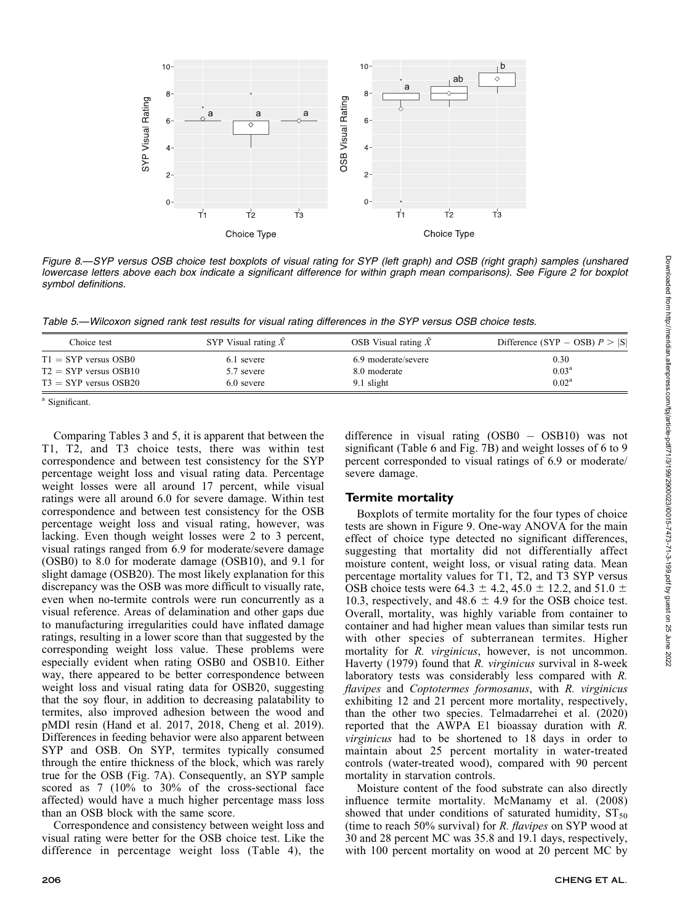

Table 5.—Wilcoxon signed rank test results for visual rating differences in the SYP versus OSB choice tests.

| Choice test             | SYP Visual rating $\bar{X}$ | OSB Visual rating $\overline{X}$ | Difference (SYP – OSB) $P >  S $ |
|-------------------------|-----------------------------|----------------------------------|----------------------------------|
| $T1 = SYP$ versus OSB0  | 6.1 severe                  | 6.9 moderate/severe              | 0.30                             |
| $T2 = SYP$ versus OSB10 | 5.7 severe                  | 8.0 moderate                     | 0.03 <sup>a</sup>                |
| $T3 = SYP$ versus OSB20 | 6.0 severe                  | 9.1 slight                       | $0.02^{\rm a}$                   |

<sup>a</sup> Significant.

symbol definitions.

 $10 -$ 

 $8<sup>°</sup>$ 

ĥ

 $\overline{4}$ 

 $2 -$ 

 $0 -$ 

T1

T2

SYP Visual Rating

Comparing Tables 3 and 5, it is apparent that between the T1, T2, and T3 choice tests, there was within test correspondence and between test consistency for the SYP percentage weight loss and visual rating data. Percentage weight losses were all around 17 percent, while visual ratings were all around 6.0 for severe damage. Within test correspondence and between test consistency for the OSB percentage weight loss and visual rating, however, was lacking. Even though weight losses were 2 to 3 percent, visual ratings ranged from 6.9 for moderate/severe damage (OSB0) to 8.0 for moderate damage (OSB10), and 9.1 for slight damage (OSB20). The most likely explanation for this discrepancy was the OSB was more difficult to visually rate, even when no-termite controls were run concurrently as a visual reference. Areas of delamination and other gaps due to manufacturing irregularities could have inflated damage ratings, resulting in a lower score than that suggested by the corresponding weight loss value. These problems were especially evident when rating OSB0 and OSB10. Either way, there appeared to be better correspondence between weight loss and visual rating data for OSB20, suggesting that the soy flour, in addition to decreasing palatability to termites, also improved adhesion between the wood and pMDI resin (Hand et al. 2017, 2018, Cheng et al. 2019). Differences in feeding behavior were also apparent between SYP and OSB. On SYP, termites typically consumed through the entire thickness of the block, which was rarely true for the OSB (Fig. 7A). Consequently, an SYP sample scored as 7 (10% to 30% of the cross-sectional face affected) would have a much higher percentage mass loss than an OSB block with the same score.

Correspondence and consistency between weight loss and visual rating were better for the OSB choice test. Like the difference in percentage weight loss (Table 4), the

difference in visual rating (OSB0 - OSB10) was not significant (Table 6 and Fig. 7B) and weight losses of 6 to 9 percent corresponded to visual ratings of 6.9 or moderate/ severe damage.

# Termite mortality

Boxplots of termite mortality for the four types of choice tests are shown in Figure 9. One-way ANOVA for the main effect of choice type detected no significant differences, suggesting that mortality did not differentially affect moisture content, weight loss, or visual rating data. Mean percentage mortality values for T1, T2, and T3 SYP versus OSB choice tests were 64.3  $\pm$  4.2, 45.0  $\pm$  12.2, and 51.0  $\pm$ 10.3, respectively, and 48.6  $\pm$  4.9 for the OSB choice test. Overall, mortality, was highly variable from container to container and had higher mean values than similar tests run with other species of subterranean termites. Higher mortality for *R. virginicus*, however, is not uncommon. Haverty (1979) found that R. virginicus survival in 8-week laboratory tests was considerably less compared with R. flavipes and Coptotermes formosanus, with R. virginicus exhibiting 12 and 21 percent more mortality, respectively, than the other two species. Telmadarrehei et al. (2020) reported that the AWPA E1 bioassay duration with R. virginicus had to be shortened to 18 days in order to maintain about 25 percent mortality in water-treated controls (water-treated wood), compared with 90 percent mortality in starvation controls.

Moisture content of the food substrate can also directly influence termite mortality. McManamy et al. (2008) showed that under conditions of saturated humidity,  $ST_{50}$ (time to reach 50% survival) for  $R$ . flavipes on SYP wood at 30 and 28 percent MC was 35.8 and 19.1 days, respectively, with 100 percent mortality on wood at 20 percent MC by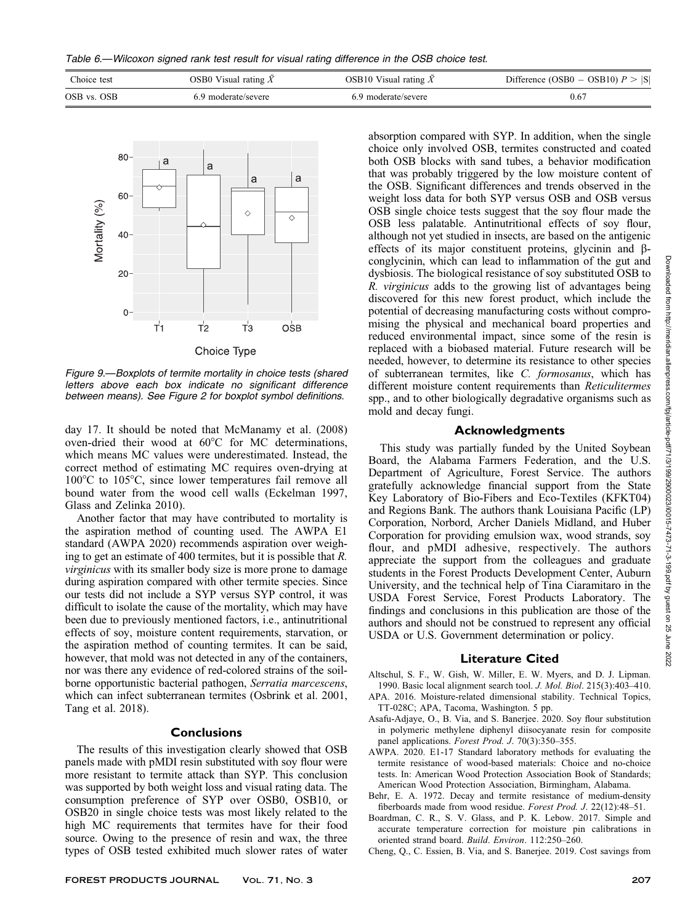Table 6.—Wilcoxon signed rank test result for visual rating difference in the OSB choice test.

| Choice test | OSB0 Visual rating $\overline{X}$ | OSB10 Visual rating $\bar{X}$ | Difference (OSB0 – OSB10) $P >  S $ |
|-------------|-----------------------------------|-------------------------------|-------------------------------------|
| OSB vs. OSB | 6.9 moderate/severe               | 6.9 moderate/severe           | 0.67                                |



Figure 9.—Boxplots of termite mortality in choice tests (shared letters above each box indicate no significant difference between means). See Figure 2 for boxplot symbol definitions.

day 17. It should be noted that McManamy et al. (2008) oven-dried their wood at 60°C for MC determinations, which means MC values were underestimated. Instead, the correct method of estimating MC requires oven-drying at  $100^{\circ}$ C to  $105^{\circ}$ C, since lower temperatures fail remove all bound water from the wood cell walls (Eckelman 1997, Glass and Zelinka 2010).

Another factor that may have contributed to mortality is the aspiration method of counting used. The AWPA E1 standard (AWPA 2020) recommends aspiration over weighing to get an estimate of 400 termites, but it is possible that R. virginicus with its smaller body size is more prone to damage during aspiration compared with other termite species. Since our tests did not include a SYP versus SYP control, it was difficult to isolate the cause of the mortality, which may have been due to previously mentioned factors, i.e., antinutritional effects of soy, moisture content requirements, starvation, or the aspiration method of counting termites. It can be said, however, that mold was not detected in any of the containers, nor was there any evidence of red-colored strains of the soilborne opportunistic bacterial pathogen, Serratia marcescens, which can infect subterranean termites (Osbrink et al. 2001, Tang et al. 2018).

#### **Conclusions**

The results of this investigation clearly showed that OSB panels made with pMDI resin substituted with soy flour were more resistant to termite attack than SYP. This conclusion was supported by both weight loss and visual rating data. The consumption preference of SYP over OSB0, OSB10, or OSB20 in single choice tests was most likely related to the high MC requirements that termites have for their food source. Owing to the presence of resin and wax, the three types of OSB tested exhibited much slower rates of water absorption compared with SYP. In addition, when the single choice only involved OSB, termites constructed and coated both OSB blocks with sand tubes, a behavior modification that was probably triggered by the low moisture content of the OSB. Significant differences and trends observed in the weight loss data for both SYP versus OSB and OSB versus OSB single choice tests suggest that the soy flour made the OSB less palatable. Antinutritional effects of soy flour, although not yet studied in insects, are based on the antigenic effects of its major constituent proteins, glycinin and  $\beta$ conglycinin, which can lead to inflammation of the gut and dysbiosis. The biological resistance of soy substituted OSB to R. virginicus adds to the growing list of advantages being discovered for this new forest product, which include the potential of decreasing manufacturing costs without compromising the physical and mechanical board properties and reduced environmental impact, since some of the resin is replaced with a biobased material. Future research will be needed, however, to determine its resistance to other species of subterranean termites, like C. formosanus, which has different moisture content requirements than Reticulitermes spp., and to other biologically degradative organisms such as mold and decay fungi.

# Acknowledgments

This study was partially funded by the United Soybean Board, the Alabama Farmers Federation, and the U.S. Department of Agriculture, Forest Service. The authors gratefully acknowledge financial support from the State Key Laboratory of Bio-Fibers and Eco-Textiles (KFKT04) and Regions Bank. The authors thank Louisiana Pacific (LP) Corporation, Norbord, Archer Daniels Midland, and Huber Corporation for providing emulsion wax, wood strands, soy flour, and pMDI adhesive, respectively. The authors appreciate the support from the colleagues and graduate students in the Forest Products Development Center, Auburn University, and the technical help of Tina Ciaramitaro in the USDA Forest Service, Forest Products Laboratory. The findings and conclusions in this publication are those of the authors and should not be construed to represent any official USDA or U.S. Government determination or policy.

# Literature Cited

- Altschul, S. F., W. Gish, W. Miller, E. W. Myers, and D. J. Lipman. 1990. Basic local alignment search tool. J. Mol. Biol. 215(3):403–410.
- APA. 2016. Moisture-related dimensional stability. Technical Topics, TT-028C; APA, Tacoma, Washington. 5 pp.
- Asafu-Adjaye, O., B. Via, and S. Banerjee. 2020. Soy flour substitution in polymeric methylene diphenyl diisocyanate resin for composite panel applications. Forest Prod. J. 70(3):350–355.
- AWPA. 2020. E1-17 Standard laboratory methods for evaluating the termite resistance of wood-based materials: Choice and no-choice tests. In: American Wood Protection Association Book of Standards; American Wood Protection Association, Birmingham, Alabama.
- Behr, E. A. 1972. Decay and termite resistance of medium-density fiberboards made from wood residue. Forest Prod. J. 22(12):48–51.
- Boardman, C. R., S. V. Glass, and P. K. Lebow. 2017. Simple and accurate temperature correction for moisture pin calibrations in oriented strand board. Build. Environ. 112:250–260.
- Cheng, Q., C. Essien, B. Via, and S. Banerjee. 2019. Cost savings from